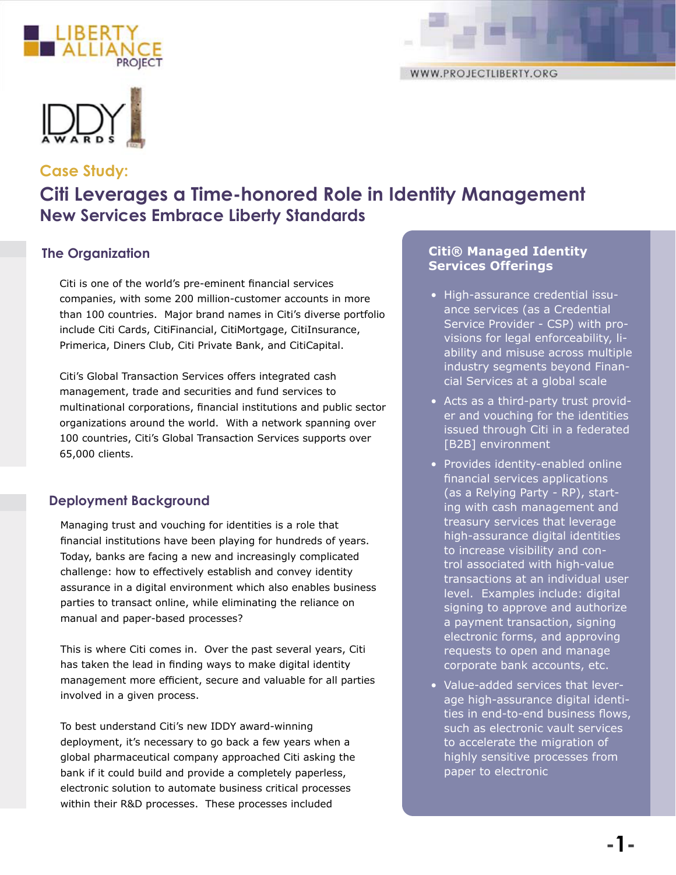





# **Case Study: Citi Leverages a Time-honored Role in Identity Management New Services Embrace Liberty Standards**

Citi is one of the world's pre-eminent financial services companies, with some 200 million-customer accounts in more than 100 countries. Major brand names in Citi's diverse portfolio include Citi Cards, CitiFinancial, CitiMortgage, CitiInsurance, Primerica, Diners Club, Citi Private Bank, and CitiCapital.

Citi's Global Transaction Services offers integrated cash management, trade and securities and fund services to multinational corporations, financial institutions and public sector organizations around the world. With a network spanning over 100 countries, Citi's Global Transaction Services supports over 65,000 clients.

## **Deployment Background**

Managing trust and vouching for identities is a role that financial institutions have been playing for hundreds of years. Today, banks are facing a new and increasingly complicated challenge: how to effectively establish and convey identity assurance in a digital environment which also enables business parties to transact online, while eliminating the reliance on manual and paper-based processes?

This is where Citi comes in. Over the past several years, Citi has taken the lead in finding ways to make digital identity management more efficient, secure and valuable for all parties involved in a given process.

To best understand Citi's new IDDY award-winning deployment, it's necessary to go back a few years when a global pharmaceutical company approached Citi asking the bank if it could build and provide a completely paperless, electronic solution to automate business critical processes within their R&D processes. These processes included

#### **The Organization Citi® Managed Identity Services Offerings**

- High-assurance credential issuance services (as a Credential Service Provider - CSP) with provisions for legal enforceability, liability and misuse across multiple industry segments beyond Financial Services at a global scale
- Acts as a third-party trust provider and vouching for the identities issued through Citi in a federated [B2B] environment
- Provides identity-enabled online financial services applications (as a Relying Party - RP), starting with cash management and treasury services that leverage high-assurance digital identities to increase visibility and control associated with high-value transactions at an individual user level. Examples include: digital signing to approve and authorize a payment transaction, signing electronic forms, and approving requests to open and manage corporate bank accounts, etc.
- Value-added services that leverage high-assurance digital identities in end-to-end business flows, such as electronic vault services to accelerate the migration of highly sensitive processes from paper to electronic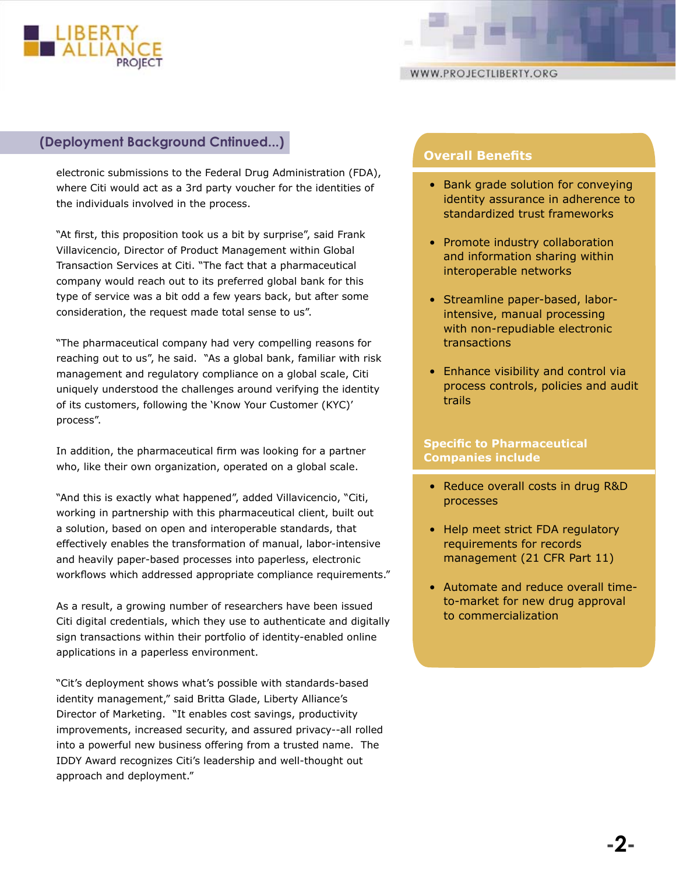

### **(Deployment Background Cntinued...)**

electronic submissions to the Federal Drug Administration (FDA), where Citi would act as a 3rd party voucher for the identities of the individuals involved in the process.

"At first, this proposition took us a bit by surprise", said Frank Villavicencio, Director of Product Management within Global Transaction Services at Citi. "The fact that a pharmaceutical company would reach out to its preferred global bank for this type of service was a bit odd a few years back, but after some consideration, the request made total sense to us".

"The pharmaceutical company had very compelling reasons for reaching out to us", he said. "As a global bank, familiar with risk management and regulatory compliance on a global scale, Citi uniquely understood the challenges around verifying the identity of its customers, following the 'Know Your Customer (KYC)' process".

In addition, the pharmaceutical firm was looking for a partner who, like their own organization, operated on a global scale.

"And this is exactly what happened", added Villavicencio, "Citi, working in partnership with this pharmaceutical client, built out a solution, based on open and interoperable standards, that effectively enables the transformation of manual, labor-intensive and heavily paper-based processes into paperless, electronic workflows which addressed appropriate compliance requirements."

As a result, a growing number of researchers have been issued Citi digital credentials, which they use to authenticate and digitally sign transactions within their portfolio of identity-enabled online applications in a paperless environment.

"Cit's deployment shows what's possible with standards-based identity management," said Britta Glade, Liberty Alliance's Director of Marketing. "It enables cost savings, productivity improvements, increased security, and assured privacy--all rolled into a powerful new business offering from a trusted name. The IDDY Award recognizes Citi's leadership and well-thought out approach and deployment."

## **Overall Benefits**

- Bank grade solution for conveying identity assurance in adherence to standardized trust frameworks
- Promote industry collaboration and information sharing within interoperable networks
- Streamline paper-based, laborintensive, manual processing with non-repudiable electronic transactions
- Enhance visibility and control via process controls, policies and audit trails

#### **Specific to Pharmaceutical Companies include**

- Reduce overall costs in drug R&D processes
- Help meet strict FDA regulatory requirements for records management (21 CFR Part 11)
- Automate and reduce overall timeto-market for new drug approval to commercialization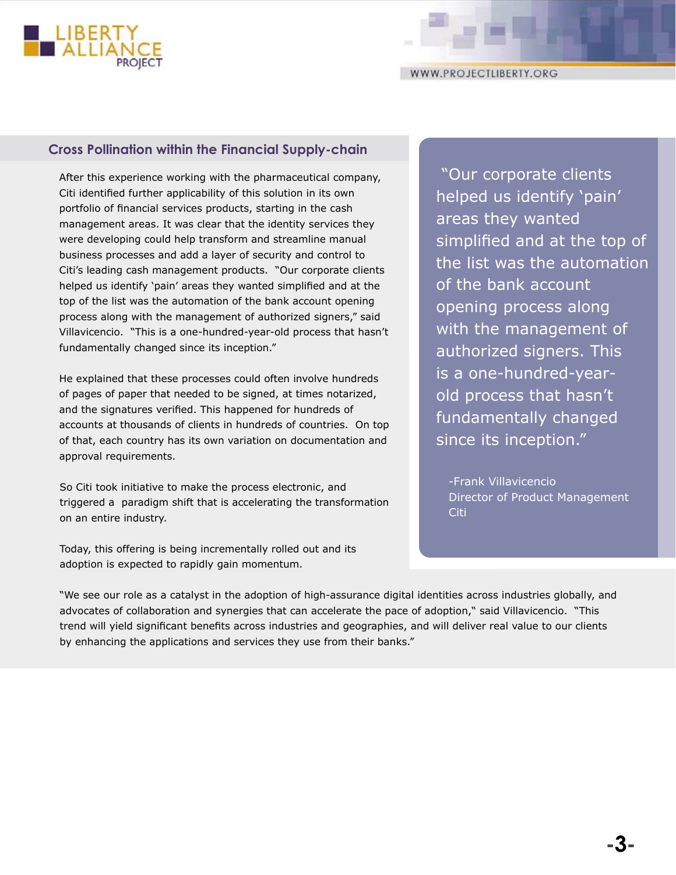

## **Cross Pollination within the Financial Supply-chain**

After this experience working with the pharmaceutical company, Citi identified further applicability of this solution in its own portfolio of financial services products, starting in the cash management areas. It was clear that the identity services they were developing could help transform and streamline manual business processes and add a layer of security and control to Citi's leading cash management products. "Our corporate clients helped us identify 'pain' areas they wanted simplified and at the top of the list was the automation of the bank account opening process along with the management of authorized signers," said Villavicencio. "This is a one-hundred-year-old process that hasn't fundamentally changed since its inception."

He explained that these processes could often involve hundreds of pages of paper that needed to be signed, at times notarized, and the signatures verified. This happened for hundreds of accounts at thousands of clients in hundreds of countries. On top of that, each country has its own variation on documentation and approval requirements.

So Citi took initiative to make the process electronic, and triggered a paradigm shift that is accelerating the transformation on an entire industry.

Today, this offering is being incrementally rolled out and its adoption is expected to rapidly gain momentum.

 "Our corporate clients helped us identify 'pain' areas they wanted simplified and at the top of the list was the automation of the bank account opening process along with the management of authorized signers. This is a one-hundred-yearold process that hasn't fundamentally changed since its inception."

-Frank Villavicencio Director of Product Management Citi

"We see our role as a catalyst in the adoption of high-assurance digital identities across industries globally, and advocates of collaboration and synergies that can accelerate the pace of adoption," said Villavicencio. "This trend will yield significant benefits across industries and geographies, and will deliver real value to our clients by enhancing the applications and services they use from their banks."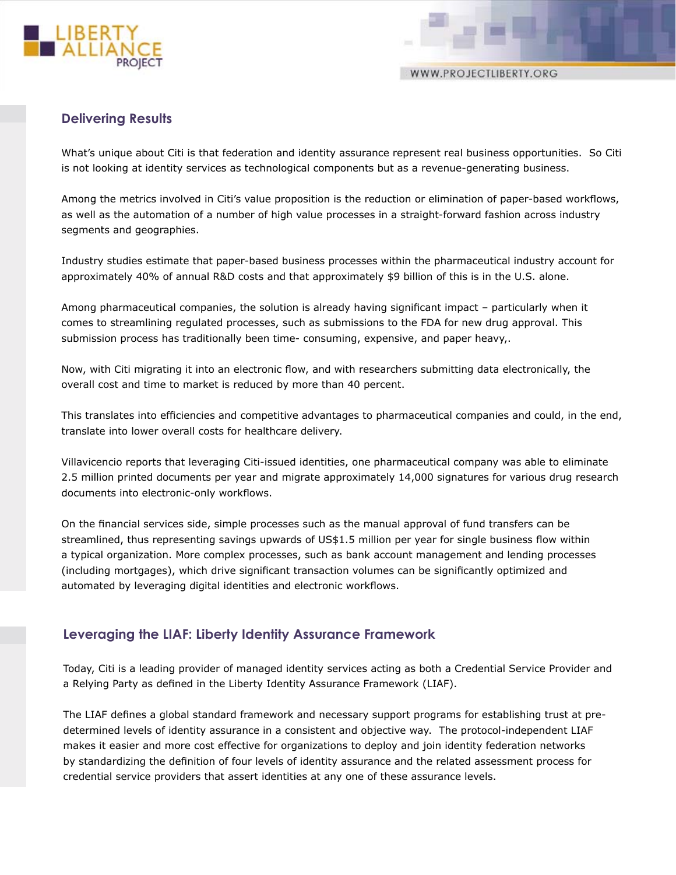

WWW.PROJECTLIBERTY.ORG

## **Delivering Results**

What's unique about Citi is that federation and identity assurance represent real business opportunities. So Citi is not looking at identity services as technological components but as a revenue-generating business.

Among the metrics involved in Citi's value proposition is the reduction or elimination of paper-based workflows, as well as the automation of a number of high value processes in a straight-forward fashion across industry segments and geographies.

Industry studies estimate that paper-based business processes within the pharmaceutical industry account for approximately 40% of annual R&D costs and that approximately \$9 billion of this is in the U.S. alone.

Among pharmaceutical companies, the solution is already having significant impact – particularly when it comes to streamlining regulated processes, such as submissions to the FDA for new drug approval. This submission process has traditionally been time- consuming, expensive, and paper heavy,.

Now, with Citi migrating it into an electronic flow, and with researchers submitting data electronically, the overall cost and time to market is reduced by more than 40 percent.

This translates into efficiencies and competitive advantages to pharmaceutical companies and could, in the end, translate into lower overall costs for healthcare delivery.

Villavicencio reports that leveraging Citi-issued identities, one pharmaceutical company was able to eliminate 2.5 million printed documents per year and migrate approximately 14,000 signatures for various drug research documents into electronic-only workflows.

On the financial services side, simple processes such as the manual approval of fund transfers can be streamlined, thus representing savings upwards of US\$1.5 million per year for single business flow within a typical organization. More complex processes, such as bank account management and lending processes (including mortgages), which drive significant transaction volumes can be significantly optimized and automated by leveraging digital identities and electronic workflows.

#### **Leveraging the LIAF: Liberty Identity Assurance Framework**

Today, Citi is a leading provider of managed identity services acting as both a Credential Service Provider and a Relying Party as defined in the Liberty Identity Assurance Framework (LIAF).

The LIAF defines a global standard framework and necessary support programs for establishing trust at predetermined levels of identity assurance in a consistent and objective way. The protocol-independent LIAF makes it easier and more cost effective for organizations to deploy and join identity federation networks by standardizing the definition of four levels of identity assurance and the related assessment process for credential service providers that assert identities at any one of these assurance levels.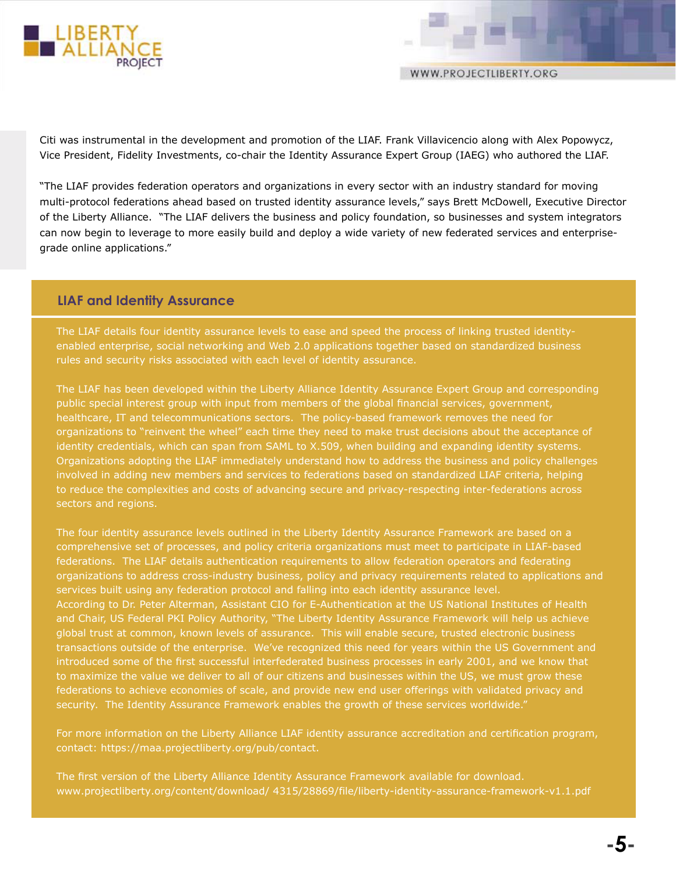

Citi was instrumental in the development and promotion of the LIAF. Frank Villavicencio along with Alex Popowycz, Vice President, Fidelity Investments, co-chair the Identity Assurance Expert Group (IAEG) who authored the LIAF.

"The LIAF provides federation operators and organizations in every sector with an industry standard for moving multi-protocol federations ahead based on trusted identity assurance levels," says Brett McDowell, Executive Director of the Liberty Alliance. "The LIAF delivers the business and policy foundation, so businesses and system integrators can now begin to leverage to more easily build and deploy a wide variety of new federated services and enterprisegrade online applications."

#### **LIAF and Identity Assurance**

The LIAF details four identity assurance levels to ease and speed the process of linking trusted identityenabled enterprise, social networking and Web 2.0 applications together based on standardized business rules and security risks associated with each level of identity assurance.

The LIAF has been developed within the Liberty Alliance Identity Assurance Expert Group and corresponding public special interest group with input from members of the global financial services, government, healthcare, IT and telecommunications sectors. The policy-based framework removes the need for organizations to "reinvent the wheel" each time they need to make trust decisions about the acceptance of identity credentials, which can span from SAML to X.509, when building and expanding identity systems. Organizations adopting the LIAF immediately understand how to address the business and policy challenges involved in adding new members and services to federations based on standardized LIAF criteria, helping to reduce the complexities and costs of advancing secure and privacy-respecting inter-federations across sectors and regions.

The four identity assurance levels outlined in the Liberty Identity Assurance Framework are based on a comprehensive set of processes, and policy criteria organizations must meet to participate in LIAF-based federations. The LIAF details authentication requirements to allow federation operators and federating organizations to address cross-industry business, policy and privacy requirements related to applications and services built using any federation protocol and falling into each identity assurance level. According to Dr. Peter Alterman, Assistant CIO for E-Authentication at the US National Institutes of Health and Chair, US Federal PKI Policy Authority, "The Liberty Identity Assurance Framework will help us achieve global trust at common, known levels of assurance. This will enable secure, trusted electronic business transactions outside of the enterprise. We've recognized this need for years within the US Government and introduced some of the first successful interfederated business processes in early 2001, and we know that to maximize the value we deliver to all of our citizens and businesses within the US, we must grow these federations to achieve economies of scale, and provide new end user offerings with validated privacy and security. The Identity Assurance Framework enables the growth of these services worldwide."

For more information on the Liberty Alliance LIAF identity assurance accreditation and certification program, contact: https://maa.projectliberty.org/pub/contact.

The first version of the Liberty Alliance Identity Assurance Framework available for download. www.projectliberty.org/content/download/ 4315/28869/file/liberty-identity-assurance-framework-v1.1.pdf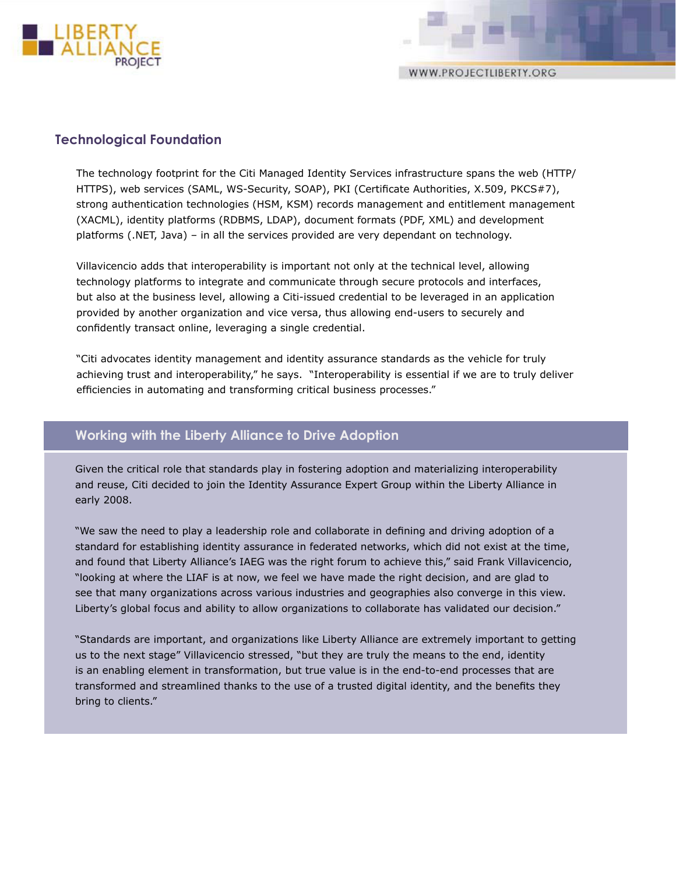

WWW.PROJECTLIBERTY.ORG

## **Technological Foundation**

The technology footprint for the Citi Managed Identity Services infrastructure spans the web (HTTP/ HTTPS), web services (SAML, WS-Security, SOAP), PKI (Certificate Authorities, X.509, PKCS#7), strong authentication technologies (HSM, KSM) records management and entitlement management (XACML), identity platforms (RDBMS, LDAP), document formats (PDF, XML) and development platforms (.NET, Java) – in all the services provided are very dependant on technology.

Villavicencio adds that interoperability is important not only at the technical level, allowing technology platforms to integrate and communicate through secure protocols and interfaces, but also at the business level, allowing a Citi-issued credential to be leveraged in an application provided by another organization and vice versa, thus allowing end-users to securely and confidently transact online, leveraging a single credential.

"Citi advocates identity management and identity assurance standards as the vehicle for truly achieving trust and interoperability," he says. "Interoperability is essential if we are to truly deliver efficiencies in automating and transforming critical business processes."

## **Working with the Liberty Alliance to Drive Adoption**

Given the critical role that standards play in fostering adoption and materializing interoperability and reuse, Citi decided to join the Identity Assurance Expert Group within the Liberty Alliance in early 2008.

"We saw the need to play a leadership role and collaborate in defining and driving adoption of a standard for establishing identity assurance in federated networks, which did not exist at the time, and found that Liberty Alliance's IAEG was the right forum to achieve this," said Frank Villavicencio, "looking at where the LIAF is at now, we feel we have made the right decision, and are glad to see that many organizations across various industries and geographies also converge in this view. Liberty's global focus and ability to allow organizations to collaborate has validated our decision."

"Standards are important, and organizations like Liberty Alliance are extremely important to getting us to the next stage" Villavicencio stressed, "but they are truly the means to the end, identity is an enabling element in transformation, but true value is in the end-to-end processes that are transformed and streamlined thanks to the use of a trusted digital identity, and the benefits they bring to clients."